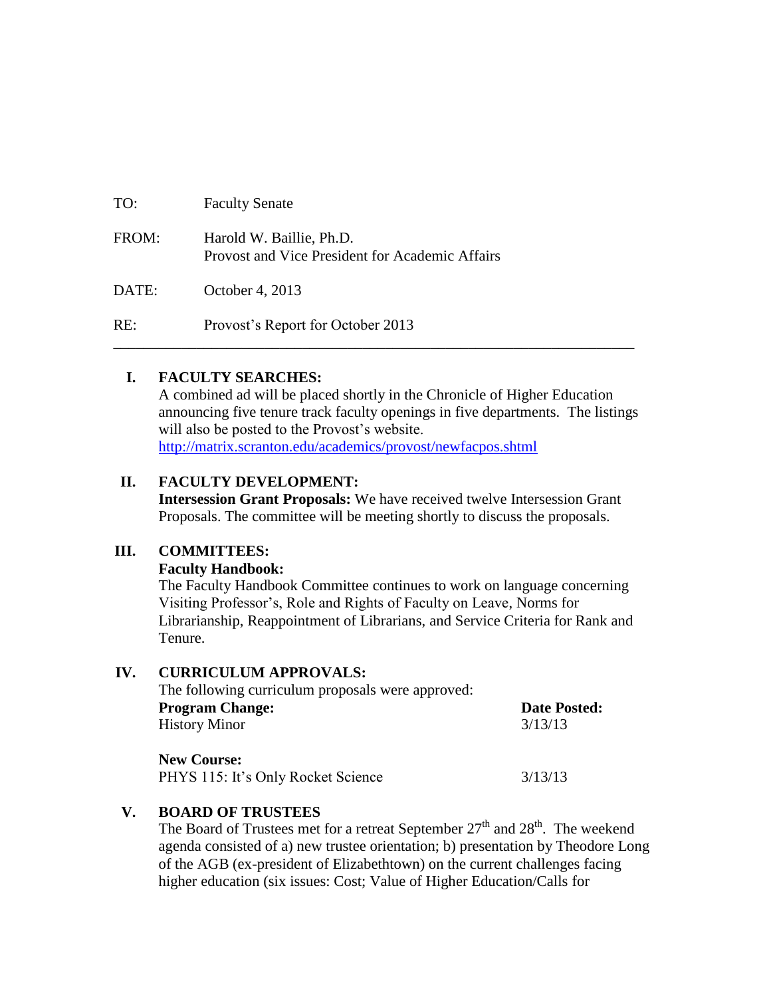| TO:   | <b>Faculty Senate</b>                                                       |
|-------|-----------------------------------------------------------------------------|
| FROM: | Harold W. Baillie, Ph.D.<br>Provost and Vice President for Academic Affairs |
| DATE: | October 4, 2013                                                             |
| RE:   | Provost's Report for October 2013                                           |

## **I. FACULTY SEARCHES:**

A combined ad will be placed shortly in the Chronicle of Higher Education announcing five tenure track faculty openings in five departments. The listings will also be posted to the Provost's website. <http://matrix.scranton.edu/academics/provost/newfacpos.shtml>

\_\_\_\_\_\_\_\_\_\_\_\_\_\_\_\_\_\_\_\_\_\_\_\_\_\_\_\_\_\_\_\_\_\_\_\_\_\_\_\_\_\_\_\_\_\_\_\_\_\_\_\_\_\_\_\_\_\_\_\_\_\_\_\_\_\_\_\_\_

## **II. FACULTY DEVELOPMENT:**

**Intersession Grant Proposals:** We have received twelve Intersession Grant Proposals. The committee will be meeting shortly to discuss the proposals.

## **III. COMMITTEES:**

## **Faculty Handbook:**

The Faculty Handbook Committee continues to work on language concerning Visiting Professor's, Role and Rights of Faculty on Leave, Norms for Librarianship, Reappointment of Librarians, and Service Criteria for Rank and Tenure.

## **IV. CURRICULUM APPROVALS:**

The following curriculum proposals were approved: **Program Change: Date Posted: Date Posted:** History Minor 3/13/13 **New Course:** PHYS 115: It's Only Rocket Science 3/13/13

# **V. BOARD OF TRUSTEES**

The Board of Trustees met for a retreat September  $27<sup>th</sup>$  and  $28<sup>th</sup>$ . The weekend agenda consisted of a) new trustee orientation; b) presentation by Theodore Long of the AGB (ex-president of Elizabethtown) on the current challenges facing higher education (six issues: Cost; Value of Higher Education/Calls for